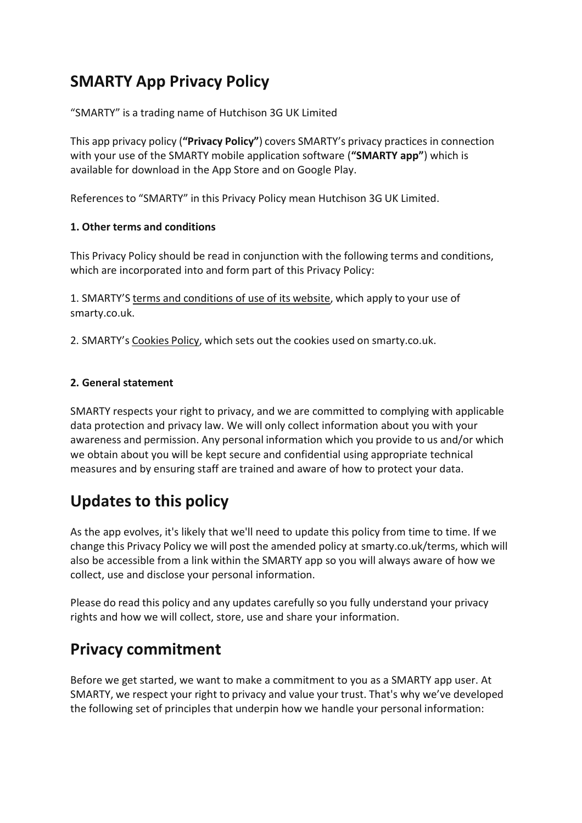# **SMARTY App Privacy Policy**

"SMARTY" is a trading name of Hutchison 3G UK Limited

This app privacy policy (**"Privacy Policy"**) covers SMARTY's privacy practices in connection with your use of the SMARTY mobile application software (**"SMARTY app"**) which is available for download in the App Store and on Google Play.

Referencesto "SMARTY" in this Privacy Policy mean Hutchison 3G UK Limited.

# **1. Other terms and conditions**

This Privacy Policy should be read in conjunction with the following terms and conditions, which are incorporated into and form part of this Privacy Policy:

1. SMARTY'S terms and [conditions](https://smarty.co.uk/terms) of use of its website, which apply to your use of smarty.co.uk.

2. SMARTY's [Cookies](http://smarty.co.uk/cookies) Policy, which sets out the cookies used on smarty.co.uk.

# **2. General statement**

SMARTY respects your right to privacy, and we are committed to complying with applicable data protection and privacy law. We will only collect information about you with your awareness and permission. Any personal information which you provide to us and/or which we obtain about you will be kept secure and confidential using appropriate technical measures and by ensuring staff are trained and aware of how to protect your data.

# **Updates to this policy**

As the app evolves, it's likely that we'll need to update this policy from time to time. If we change this Privacy Policy we will post the amended policy at smarty.co.uk/terms, which will also be accessible from a link within the SMARTY app so you will always aware of how we collect, use and disclose your personal information.

Please do read this policy and any updates carefully so you fully understand your privacy rights and how we will collect, store, use and share your information.

# **Privacy commitment**

Before we get started, we want to make a commitment to you as a SMARTY app user. At SMARTY, we respect your right to privacy and value your trust. That's why we've developed the following set of principles that underpin how we handle your personal information: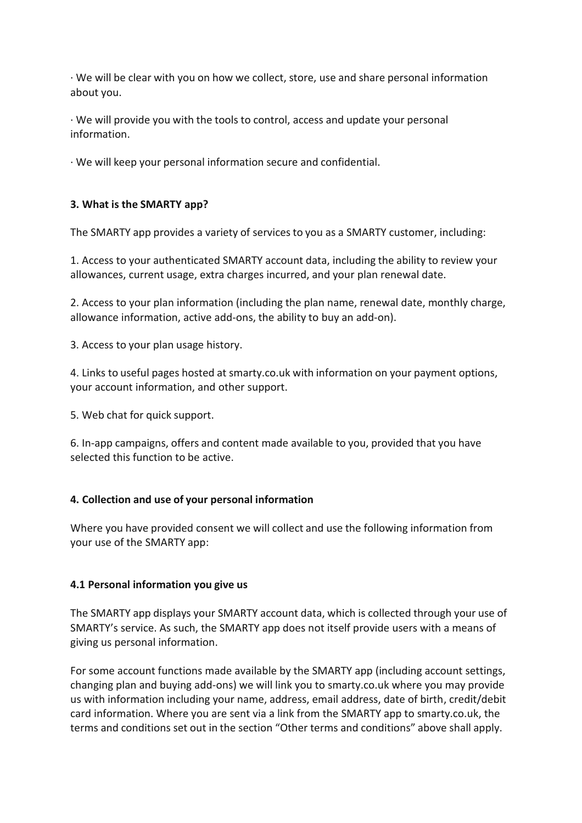· We will be clear with you on how we collect, store, use and share personal information about you.

· We will provide you with the tools to control, access and update your personal information.

· We will keep your personal information secure and confidential.

# **3. What is the SMARTY app?**

The SMARTY app provides a variety of services to you as a SMARTY customer, including:

1. Access to your authenticated SMARTY account data, including the ability to review your allowances, current usage, extra charges incurred, and your plan renewal date.

2. Access to your plan information (including the plan name, renewal date, monthly charge, allowance information, active add-ons, the ability to buy an add-on).

3. Access to your plan usage history.

4. Links to useful pages hosted at smarty.co.uk with information on your payment options, your account information, and other support.

5. Web chat for quick support.

6. In-app campaigns, offers and content made available to you, provided that you have selected this function to be active.

# **4. Collection and use of your personal information**

Where you have provided consent we will collect and use the following information from your use of the SMARTY app:

# **4.1 Personal information you give us**

The SMARTY app displays your SMARTY account data, which is collected through your use of SMARTY's service. As such, the SMARTY app does not itself provide users with a means of giving us personal information.

For some account functions made available by the SMARTY app (including account settings, changing plan and buying add-ons) we will link you to smarty.co.uk where you may provide us with information including your name, address, email address, date of birth, credit/debit card information. Where you are sent via a link from the SMARTY app to smarty.co.uk, the terms and conditions set out in the section "Other terms and conditions" above shall apply.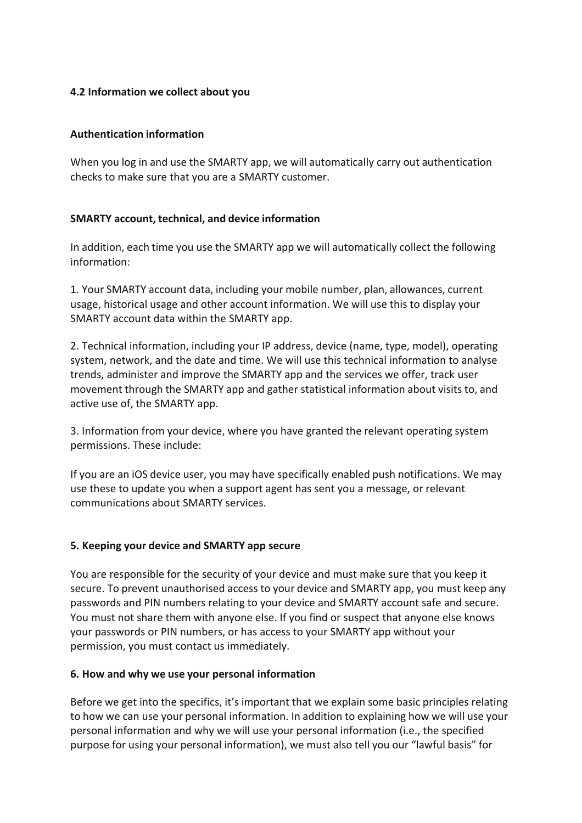## **4.2 Information we collect about you**

## **Authentication information**

When you log in and use the SMARTY app, we will automatically carry out authentication checks to make sure that you are a SMARTY customer.

## **SMARTY account, technical, and device information**

In addition, each time you use the SMARTY app we will automatically collect the following information:

1. Your SMARTY account data, including your mobile number, plan, allowances, current usage, historical usage and other account information. We will use this to display your SMARTY account data within the SMARTY app.

2. Technical information, including your IP address, device (name, type, model), operating system, network, and the date and time. We will use this technical information to analyse trends, administer and improve the SMARTY app and the services we offer, track user movement through the SMARTY app and gather statistical information about visits to, and active use of, the SMARTY app.

3. Information from your device, where you have granted the relevant operating system permissions. These include:

If you are an iOS device user, you may have specifically enabled push notifications. We may use these to update you when a support agent has sent you a message, or relevant communications about SMARTY services.

### **5. Keeping your device and SMARTY app secure**

You are responsible for the security of your device and must make sure that you keep it secure. To prevent unauthorised access to your device and SMARTY app, you must keep any passwords and PIN numbers relating to your device and SMARTY account safe and secure. You must not share them with anyone else. If you find or suspect that anyone else knows your passwords or PIN numbers, or has access to your SMARTY app without your permission, you must contact us immediately.

### **6. How and why we use your personal information**

Before we get into the specifics, it's important that we explain some basic principles relating to how we can use your personal information. In addition to explaining how we will use your personal information and why we will use your personal information (i.e., the specified purpose for using your personal information), we must also tell you our "lawful basis" for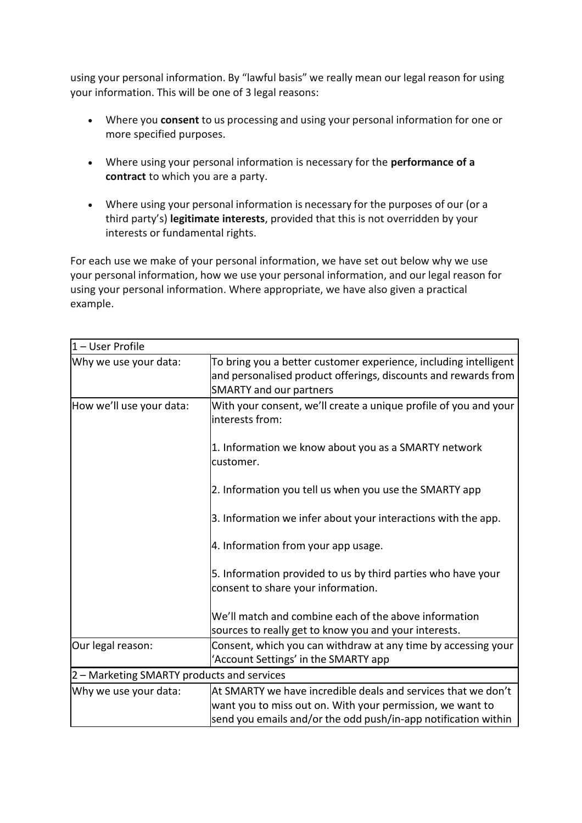using your personal information. By "lawful basis" we really mean our legal reason for using your information. This will be one of 3 legal reasons:

- Where you **consent** to us processing and using your personal information for one or more specified purposes.
- Where using your personal information is necessary for the **performance of a contract** to which you are a party.
- Where using your personal information is necessary for the purposes of our (or a third party's) **legitimate interests**, provided that this is not overridden by your interests or fundamental rights.

For each use we make of your personal information, we have set out below why we use your personal information, how we use your personal information, and our legal reason for using your personal information. Where appropriate, we have also given a practical example.

| $1 -$ User Profile                         |                                                                                                                                                                      |  |  |
|--------------------------------------------|----------------------------------------------------------------------------------------------------------------------------------------------------------------------|--|--|
| Why we use your data:                      | To bring you a better customer experience, including intelligent<br>and personalised product offerings, discounts and rewards from<br><b>SMARTY and our partners</b> |  |  |
| How we'll use your data:                   | With your consent, we'll create a unique profile of you and your<br>interests from:                                                                                  |  |  |
|                                            | 1. Information we know about you as a SMARTY network<br>customer.                                                                                                    |  |  |
|                                            | 2. Information you tell us when you use the SMARTY app                                                                                                               |  |  |
|                                            | 3. Information we infer about your interactions with the app.                                                                                                        |  |  |
|                                            | 4. Information from your app usage.                                                                                                                                  |  |  |
|                                            | 5. Information provided to us by third parties who have your<br>consent to share your information.                                                                   |  |  |
|                                            | We'll match and combine each of the above information<br>sources to really get to know you and your interests.                                                       |  |  |
| Our legal reason:                          | Consent, which you can withdraw at any time by accessing your<br>'Account Settings' in the SMARTY app                                                                |  |  |
| 2 - Marketing SMARTY products and services |                                                                                                                                                                      |  |  |
| Why we use your data:                      | At SMARTY we have incredible deals and services that we don't                                                                                                        |  |  |
|                                            | want you to miss out on. With your permission, we want to<br>send you emails and/or the odd push/in-app notification within                                          |  |  |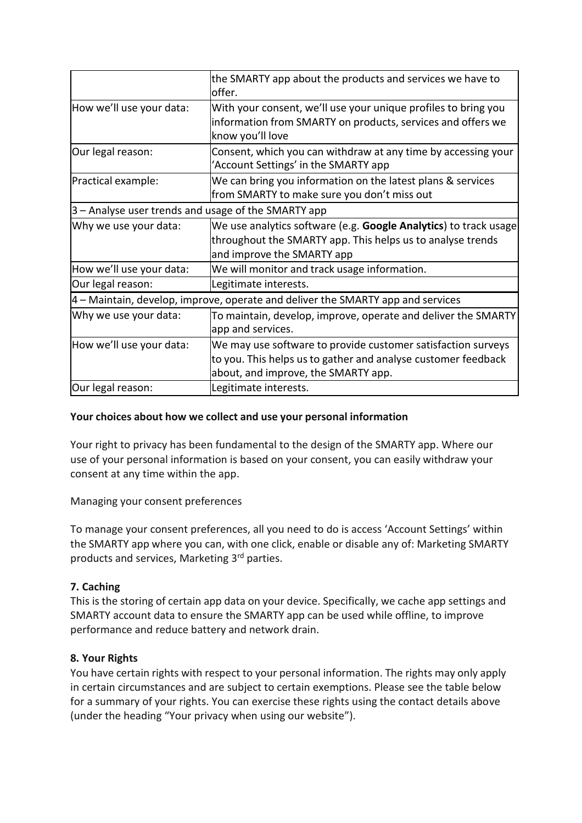|                                                                                   | the SMARTY app about the products and services we have to<br>offer.                                                                                                  |  |
|-----------------------------------------------------------------------------------|----------------------------------------------------------------------------------------------------------------------------------------------------------------------|--|
| How we'll use your data:                                                          | With your consent, we'll use your unique profiles to bring you<br>information from SMARTY on products, services and offers we<br>know you'll love                    |  |
| Our legal reason:                                                                 | Consent, which you can withdraw at any time by accessing your<br>'Account Settings' in the SMARTY app                                                                |  |
| Practical example:                                                                | We can bring you information on the latest plans & services<br>from SMARTY to make sure you don't miss out                                                           |  |
| 3 - Analyse user trends and usage of the SMARTY app                               |                                                                                                                                                                      |  |
| Why we use your data:                                                             | We use analytics software (e.g. Google Analytics) to track usage<br>throughout the SMARTY app. This helps us to analyse trends<br>and improve the SMARTY app         |  |
| How we'll use your data:                                                          | We will monitor and track usage information.                                                                                                                         |  |
| Our legal reason:                                                                 | Legitimate interests.                                                                                                                                                |  |
| $4$ – Maintain, develop, improve, operate and deliver the SMARTY app and services |                                                                                                                                                                      |  |
| Why we use your data:                                                             | To maintain, develop, improve, operate and deliver the SMARTY<br>app and services.                                                                                   |  |
| How we'll use your data:                                                          | We may use software to provide customer satisfaction surveys<br>to you. This helps us to gather and analyse customer feedback<br>about, and improve, the SMARTY app. |  |
| Our legal reason:                                                                 | Legitimate interests.                                                                                                                                                |  |

## **Your choices about how we collect and use your personal information**

Your right to privacy has been fundamental to the design of the SMARTY app. Where our use of your personal information is based on your consent, you can easily withdraw your consent at any time within the app.

Managing your consent preferences

To manage your consent preferences, all you need to do is access 'Account Settings' within the SMARTY app where you can, with one click, enable or disable any of: Marketing SMARTY products and services, Marketing 3<sup>rd</sup> parties.

# **7. Caching**

This is the storing of certain app data on your device. Specifically, we cache app settings and SMARTY account data to ensure the SMARTY app can be used while offline, to improve performance and reduce battery and network drain.

### **8. Your Rights**

You have certain rights with respect to your personal information. The rights may only apply in certain circumstances and are subject to certain exemptions. Please see the table below for a summary of your rights. You can exercise these rights using the contact details above (under the heading "Your privacy when using our website").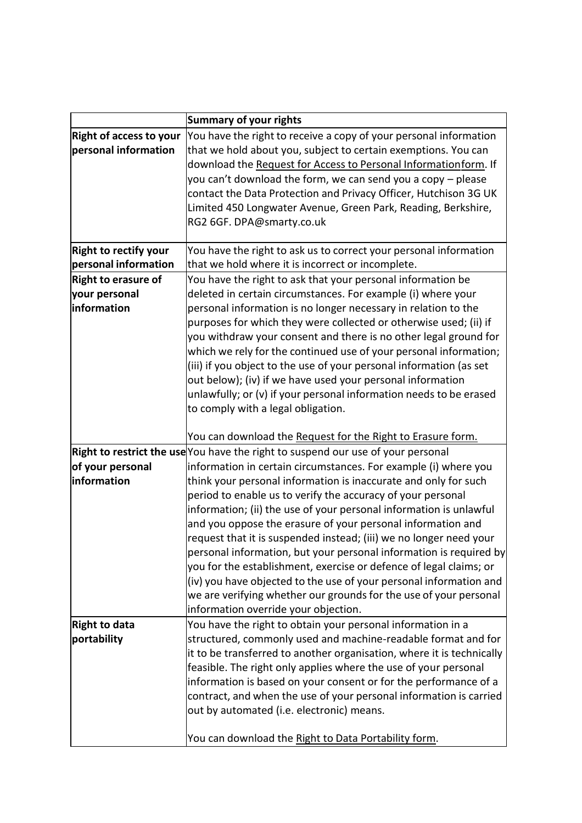|                                | <b>Summary of your rights</b>                                                                                                            |
|--------------------------------|------------------------------------------------------------------------------------------------------------------------------------------|
| <b>Right of access to your</b> | You have the right to receive a copy of your personal information                                                                        |
| personal information           | that we hold about you, subject to certain exemptions. You can                                                                           |
|                                | download the Request for Access to Personal Informationform. If                                                                          |
|                                | you can't download the form, we can send you a copy – please                                                                             |
|                                | contact the Data Protection and Privacy Officer, Hutchison 3G UK                                                                         |
|                                | Limited 450 Longwater Avenue, Green Park, Reading, Berkshire,                                                                            |
|                                | RG2 6GF. DPA@smarty.co.uk                                                                                                                |
|                                |                                                                                                                                          |
| <b>Right to rectify your</b>   | You have the right to ask us to correct your personal information                                                                        |
| personal information           | that we hold where it is incorrect or incomplete.                                                                                        |
| <b>Right to erasure of</b>     | You have the right to ask that your personal information be                                                                              |
| your personal                  | deleted in certain circumstances. For example (i) where your                                                                             |
| information                    | personal information is no longer necessary in relation to the                                                                           |
|                                | purposes for which they were collected or otherwise used; (ii) if                                                                        |
|                                | you withdraw your consent and there is no other legal ground for                                                                         |
|                                | which we rely for the continued use of your personal information;                                                                        |
|                                | (iii) if you object to the use of your personal information (as set                                                                      |
|                                | out below); (iv) if we have used your personal information                                                                               |
|                                | unlawfully; or (v) if your personal information needs to be erased                                                                       |
|                                | to comply with a legal obligation.                                                                                                       |
|                                |                                                                                                                                          |
|                                | You can download the Request for the Right to Erasure form.                                                                              |
|                                | <b>Right to restrict the use</b> You have the right to suspend our use of your personal                                                  |
| of your personal               | information in certain circumstances. For example (i) where you                                                                          |
| information                    | think your personal information is inaccurate and only for such                                                                          |
|                                | period to enable us to verify the accuracy of your personal                                                                              |
|                                | information; (ii) the use of your personal information is unlawful                                                                       |
|                                | and you oppose the erasure of your personal information and                                                                              |
|                                | request that it is suspended instead; (iii) we no longer need your<br>personal information, but your personal information is required by |
|                                | you for the establishment, exercise or defence of legal claims; or                                                                       |
|                                | (iv) you have objected to the use of your personal information and                                                                       |
|                                | we are verifying whether our grounds for the use of your personal                                                                        |
|                                | information override your objection.                                                                                                     |
| <b>Right to data</b>           | You have the right to obtain your personal information in a                                                                              |
| portability                    | structured, commonly used and machine-readable format and for                                                                            |
|                                | it to be transferred to another organisation, where it is technically                                                                    |
|                                | feasible. The right only applies where the use of your personal                                                                          |
|                                | information is based on your consent or for the performance of a                                                                         |
|                                | contract, and when the use of your personal information is carried                                                                       |
|                                | out by automated (i.e. electronic) means.                                                                                                |
|                                |                                                                                                                                          |
|                                | You can download the Right to Data Portability form.                                                                                     |
|                                |                                                                                                                                          |